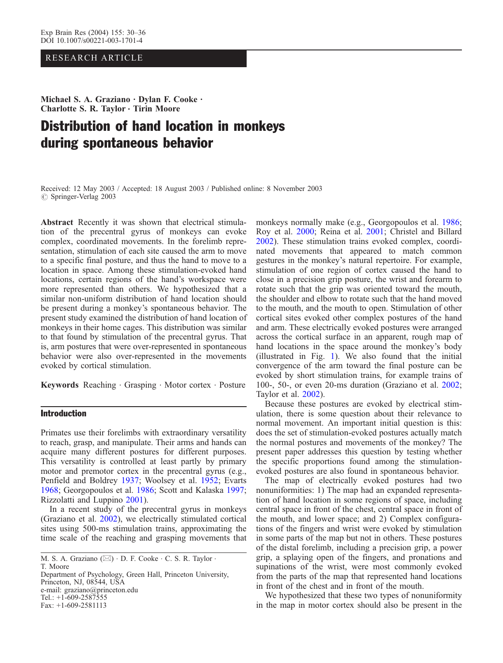# RESEARCH ARTICLE

Michael S. A. Graziano · Dylan F. Cooke · Charlotte S. R. Taylor . Tirin Moore

# Distribution of hand location in monkeys during spontaneous behavior

Received: 12 May 2003 / Accepted: 18 August 2003 / Published online: 8 November 2003 *#* Springer-Verlag 2003

Abstract Recently it was shown that electrical stimulation of the precentral gyrus of monkeys can evoke complex, coordinated movements. In the forelimb representation, stimulation of each site caused the arm to move to a specific final posture, and thus the hand to move to a location in space. Among these stimulation-evoked hand locations, certain regions of the hand's workspace were more represented than others. We hypothesized that a similar non-uniform distribution of hand location should be present during a monkey's spontaneous behavior. The present study examined the distribution of hand location of monkeys in their home cages. This distribution was similar to that found by stimulation of the precentral gyrus. That is, arm postures that were over-represented in spontaneous behavior were also over-represented in the movements evoked by cortical stimulation.

Keywords Reaching · Grasping · Motor cortex · Posture

## Introduction

Primates use their forelimbs with extraordinary versatility to reach, grasp, and manipulate. Their arms and hands can acquire many different postures for different purposes. This versatility is controlled at least partly by primary motor and premotor cortex in the precentral gyrus (e.g., Penfield and Boldrey [1937;](#page-6-0) Woolsey et al. [1952;](#page-6-0) Evarts [1968](#page-6-0); Georgopoulos et al. [1986](#page-6-0); Scott and Kalaska [1997](#page-6-0); Rizzolatti and Luppino [2001](#page-6-0)).

In a recent study of the precentral gyrus in monkeys (Graziano et al. [2002](#page-6-0)), we electrically stimulated cortical sites using 500-ms stimulation trains, approximating the time scale of the reaching and grasping movements that

Department of Psychology, Green Hall, Princeton University, Princeton, NJ, 08544, USA e-mail: graziano@princeton.edu Tel.: +1-609-2587555 Fax: +1-609-2581113

monkeys normally make (e.g., Georgopoulos et al. [1986](#page-6-0); Roy et al. [2000](#page-6-0); Reina et al. [2001;](#page-6-0) Christel and Billard [2002](#page-6-0)). These stimulation trains evoked complex, coordinated movements that appeared to match common gestures in the monkey's natural repertoire. For example, stimulation of one region of cortex caused the hand to close in a precision grip posture, the wrist and forearm to rotate such that the grip was oriented toward the mouth, the shoulder and elbow to rotate such that the hand moved to the mouth, and the mouth to open. Stimulation of other cortical sites evoked other complex postures of the hand and arm. These electrically evoked postures were arranged across the cortical surface in an apparent, rough map of hand locations in the space around the monkey's body (illustrated in Fig. 1). We also found that the initial convergence of the arm toward the final posture can be evoked by short stimulation trains, for example trains of 100-, 50-, or even 20-ms duration (Graziano et al. [2002](#page-6-0); Taylor et al. [2002](#page-6-0)).

Because these postures are evoked by electrical stimulation, there is some question about their relevance to normal movement. An important initial question is this: does the set of stimulation-evoked postures actually match the normal postures and movements of the monkey? The present paper addresses this question by testing whether the specific proportions found among the stimulationevoked postures are also found in spontaneous behavior.

The map of electrically evoked postures had two nonuniformities: 1) The map had an expanded representation of hand location in some regions of space, including central space in front of the chest, central space in front of the mouth, and lower space; and 2) Complex configurations of the fingers and wrist were evoked by stimulation in some parts of the map but not in others. These postures of the distal forelimb, including a precision grip, a power grip, a splaying open of the fingers, and pronations and supinations of the wrist, were most commonly evoked from the parts of the map that represented hand locations in front of the chest and in front of the mouth.

We hypothesized that these two types of nonuniformity in the map in motor cortex should also be present in the

M. S. A. Graziano (*\**) . D. F. Cooke . C. S. R. Taylor . T. Moore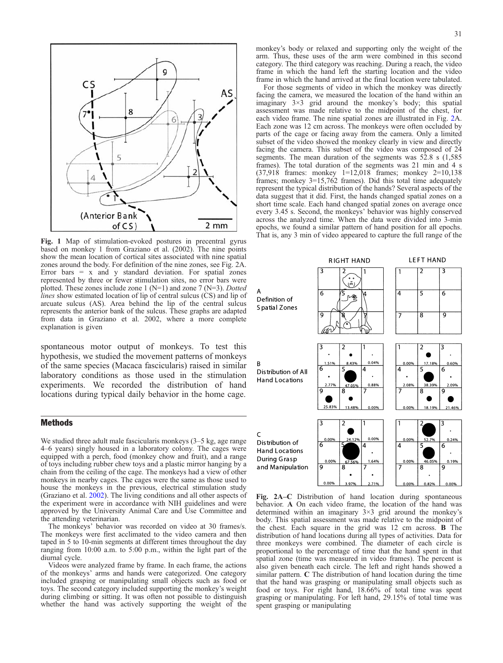

Fig. 1 Map of stimulation-evoked postures in precentral gyrus based on monkey 1 from Graziano et al. (2002). The nine points show the mean location of cortical sites associated with nine spatial zones around the body. For definition of the nine zones, see Fig. 2A. Error bars  $= x$  and y standard deviation. For spatial zones represented by three or fewer stimulation sites, no error bars were plotted. These zones include zone 1 (N=1) and zone 7 (N=3). Dotted lines show estimated location of lip of central sulcus (CS) and lip of arcuate sulcus (AS). Area behind the lip of the central sulcus represents the anterior bank of the sulcus. These graphs are adapted from data in Graziano et al. 2002, where a more complete explanation is given

spontaneous motor output of monkeys. To test this hypothesis, we studied the movement patterns of monkeys of the same species (Macaca fascicularis) raised in similar laboratory conditions as those used in the stimulation experiments. We recorded the distribution of hand locations during typical daily behavior in the home cage.

## **Methods**

We studied three adult male fascicularis monkeys (3–5 kg, age range 4–6 years) singly housed in a laboratory colony. The cages were equipped with a perch, food (monkey chow and fruit), and a range of toys including rubber chew toys and a plastic mirror hanging by a chain from the ceiling of the cage. The monkeys had a view of other monkeys in nearby cages. The cages were the same as those used to house the monkeys in the previous, electrical stimulation study (Graziano et al. [2002\)](#page-6-0). The living conditions and all other aspects of the experiment were in accordance with NIH guidelines and were approved by the University Animal Care and Use Committee and the attending veterinarian.

The monkeys' behavior was recorded on video at 30 frames/s. The monkeys were first acclimated to the video camera and then taped in 5 to 10-min segments at different times throughout the day ranging from 10:00 a.m. to 5:00 p.m., within the light part of the diurnal cycle.

Videos were analyzed frame by frame. In each frame, the actions of the monkeys' arms and hands were categorized. One category included grasping or manipulating small objects such as food or toys. The second category included supporting the monkey's weight during climbing or sitting. It was often not possible to distinguish whether the hand was actively supporting the weight of the

monkey's body or relaxed and supporting only the weight of the arm. Thus, these uses of the arm were combined in this second category. The third category was reaching. During a reach, the video frame in which the hand left the starting location and the video frame in which the hand arrived at the final location were tabulated.

For those segments of video in which the monkey was directly facing the camera, we measured the location of the hand within an imaginary 3×3 grid around the monkey's body; this spatial assessment was made relative to the midpoint of the chest, for each video frame. The nine spatial zones are illustrated in Fig. 2A. Each zone was 12 cm across. The monkeys were often occluded by parts of the cage or facing away from the camera. Only a limited subset of the video showed the monkey clearly in view and directly facing the camera. This subset of the video was composed of 24 segments. The mean duration of the segments was  $52.8$  s (1,585) frames). The total duration of the segments was 21 min and 4 s (37,918 frames: monkey 1=12,018 frames; monkey 2=10,138 frames; monkey 3=15,762 frames). Did this total time adequately represent the typical distribution of the hands? Several aspects of the data suggest that it did. First, the hands changed spatial zones on a short time scale. Each hand changed spatial zones on average once every 3.45 s. Second, the monkeys' behavior was highly conserved across the analyzed time. When the data were divided into 3-min epochs, we found a similar pattern of hand position for all epochs. That is, any 3 min of video appeared to capture the full range of the



Fig. 2A–C Distribution of hand location during spontaneous behavior. A On each video frame, the location of the hand was determined within an imaginary 3×3 grid around the monkey's body. This spatial assessment was made relative to the midpoint of the chest. Each square in the grid was 12 cm across. B The distribution of hand locations during all types of activities. Data for three monkeys were combined. The diameter of each circle is proportional to the percentage of time that the hand spent in that spatial zone (time was measured in video frames). The percent is also given beneath each circle. The left and right hands showed a similar pattern. C The distribution of hand location during the time that the hand was grasping or manipulating small objects such as food or toys. For right hand, 18.66% of total time was spent grasping or manipulating. For left hand, 29.15% of total time was spent grasping or manipulating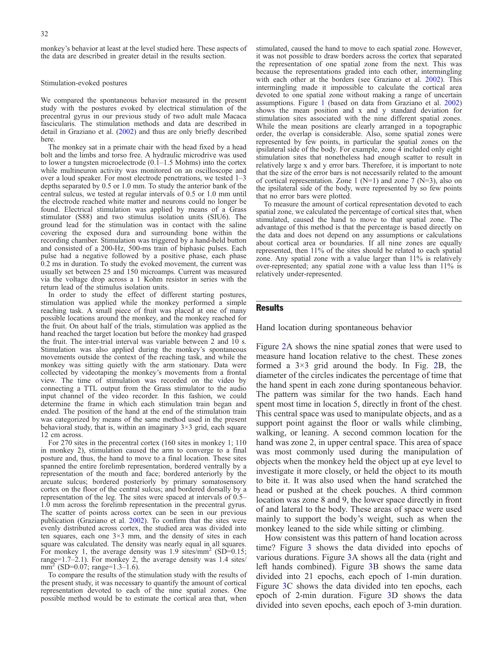monkey's behavior at least at the level studied here. These aspects of the data are described in greater detail in the results section.

#### Stimulation-evoked postures

We compared the spontaneous behavior measured in the present study with the postures evoked by electrical stimulation of the precentral gyrus in our previous study of two adult male Macaca fascicularis. The stimulation methods and data are described in detail in Graziano et al. ([2002\)](#page-6-0) and thus are only briefly described here.

The monkey sat in a primate chair with the head fixed by a head bolt and the limbs and torso free. A hydraulic microdrive was used to lower a tungsten microelectrode (0.1–1.5 Mohms) into the cortex while multineuron activity was monitored on an oscilloscope and over a loud speaker. For most electrode penetrations, we tested 1–3 depths separated by 0.5 or 1.0 mm. To study the anterior bank of the central sulcus, we tested at regular intervals of 0.5 or 1.0 mm until the electrode reached white matter and neurons could no longer be found. Electrical stimulation was applied by means of a Grass stimulator (S88) and two stimulus isolation units (SIU6). The ground lead for the stimulation was in contact with the saline covering the exposed dura and surrounding bone within the recording chamber. Stimulation was triggered by a hand-held button and consisted of a 200-Hz, 500-ms train of biphasic pulses. Each pulse had a negative followed by a positive phase, each phase 0.2 ms in duration. To study the evoked movement, the current was usually set between 25 and 150 microamps. Current was measured via the voltage drop across a 1 Kohm resistor in series with the return lead of the stimulus isolation units.

In order to study the effect of different starting postures, stimulation was applied while the monkey performed a simple reaching task. A small piece of fruit was placed at one of many possible locations around the monkey, and the monkey reached for the fruit. On about half of the trials, stimulation was applied as the hand reached the target location but before the monkey had grasped the fruit. The inter-trial interval was variable between 2 and 10 s. Stimulation was also applied during the monkey's spontaneous movements outside the context of the reaching task, and while the monkey was sitting quietly with the arm stationary. Data were collected by videotaping the monkey's movements from a frontal view. The time of stimulation was recorded on the video by connecting a TTL output from the Grass stimulator to the audio input channel of the video recorder. In this fashion, we could determine the frame in which each stimulation train began and ended. The position of the hand at the end of the stimulation train was categorized by means of the same method used in the present behavioral study, that is, within an imaginary 3×3 grid, each square 12 cm across.

For 270 sites in the precentral cortex (160 sites in monkey 1; 110 in monkey 2), stimulation caused the arm to converge to a final posture and, thus, the hand to move to a final location. These sites spanned the entire forelimb representation, bordered ventrally by a representation of the mouth and face; bordered anteriorly by the arcuate sulcus; bordered posteriorly by primary somatosensory cortex on the floor of the central sulcus; and bordered dorsally by a representation of the leg. The sites were spaced at intervals of 0.5– 1.0 mm across the forelimb representation in the precentral gyrus. The scatter of points across cortex can be seen in our previous publication (Graziano et al. [2002\)](#page-6-0). To confirm that the sites were evenly distributed across cortex, the studied area was divided into ten squares, each one 3×3 mm, and the density of sites in each square was calculated. The density was nearly equal in all squares. For monkey 1, the average density was  $1.9 \text{ sites/mm}^2$  (SD=0.15; range=1.7–2.1). For monkey 2, the average density was 1.4 sites/ mm<sup>2</sup> (SD=0.07; range=1.3–1.6).

To compare the results of the stimulation study with the results of the present study, it was necessary to quantify the amount of cortical representation devoted to each of the nine spatial zones. One possible method would be to estimate the cortical area that, when stimulated, caused the hand to move to each spatial zone. However, it was not possible to draw borders across the cortex that separated the representation of one spatial zone from the next. This was because the representations graded into each other, intermingling with each other at the borders (see Graziano et al. [2002\)](#page-6-0). This intermingling made it impossible to calculate the cortical area devoted to one spatial zone without making a range of uncertain assumptions. Figure 1 (based on data from Graziano et al. [2002](#page-6-0)) shows the mean position and x and y standard deviation for stimulation sites associated with the nine different spatial zones. While the mean positions are clearly arranged in a topographic order, the overlap is considerable. Also, some spatial zones were represented by few points, in particular the spatial zones on the ipsilateral side of the body. For example, zone 4 included only eight stimulation sites that nonetheless had enough scatter to result in relatively large x and y error bars. Therefore, it is important to note that the size of the error bars is not necessarily related to the amount of cortical representation. Zone 1 ( $N=1$ ) and zone 7 ( $N=3$ ), also on the ipsilateral side of the body, were represented by so few points that no error bars were plotted.

To measure the amount of cortical representation devoted to each spatial zone, we calculated the percentage of cortical sites that, when stimulated, caused the hand to move to that spatial zone. The advantage of this method is that the percentage is based directly on the data and does not depend on any assumptions or calculations about cortical area or boundaries. If all nine zones are equally represented, then 11% of the sites should be related to each spatial zone. Any spatial zone with a value larger than 11% is relatively over-represented; any spatial zone with a value less than 11% is relatively under-represented.

# **Results**

Hand location during spontaneous behavior

Figure 2A shows the nine spatial zones that were used to measure hand location relative to the chest. These zones formed a  $3\times3$  grid around the body. In Fig. 2B, the diameter of the circles indicates the percentage of time that the hand spent in each zone during spontaneous behavior. The pattern was similar for the two hands. Each hand spent most time in location 5, directly in front of the chest. This central space was used to manipulate objects, and as a support point against the floor or walls while climbing, walking, or leaning. A second common location for the hand was zone 2, in upper central space. This area of space was most commonly used during the manipulation of objects when the monkey held the object up at eye level to investigate it more closely, or held the object to its mouth to bite it. It was also used when the hand scratched the head or pushed at the cheek pouches. A third common location was zone 8 and 9, the lower space directly in front of and lateral to the body. These areas of space were used mainly to support the body's weight, such as when the monkey leaned to the side while sitting or climbing.

How consistent was this pattern of hand location across time? Figure 3 shows the data divided into epochs of various durations. Figure 3A shows all the data (right and left hands combined). Figure 3B shows the same data divided into 21 epochs, each epoch of 1-min duration. Figure 3C shows the data divided into ten epochs, each epoch of 2-min duration. Figure 3D shows the data divided into seven epochs, each epoch of 3-min duration.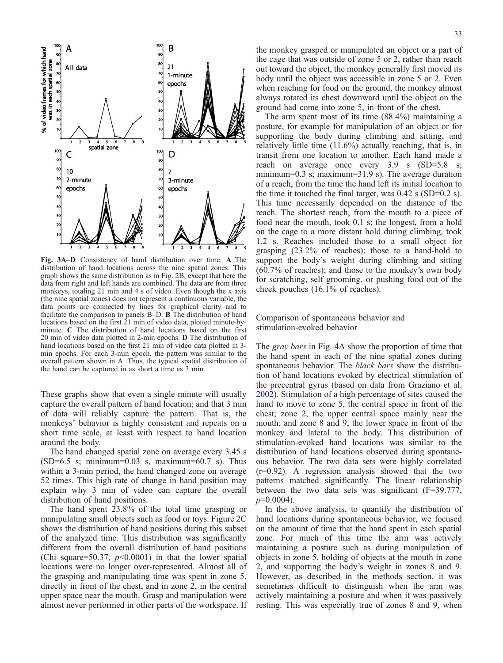

Fig. 3A–D Consistency of hand distribution over time. A The distribution of hand locations across the nine spatial zones. This graph shows the same distribution as in Fig. 2B, except that here the data from right and left hands are combined. The data are from three monkeys, totaling 21 min and 4 s of video. Even though the x axis (the nine spatial zones) does not represent a continuous variable, the data points are connected by lines for graphical clarity and to facilitate the comparison to panels B–D. B The distribution of hand locations based on the first 21 min of video data, plotted minute-byminute. C The distribution of hand locations based on the first 20 min of video data plotted in 2-min epochs. D The distribution of hand locations based on the first 21 min of video data plotted in 3 min epochs. For each 3-min epoch, the pattern was similar to the overall pattern shown in A. Thus, the typical spatial distribution of the hand can be captured in as short a time as 3 min

These graphs show that even a single minute will usually capture the overall pattern of hand location; and that 3 min of data will reliably capture the pattern. That is, the monkeys' behavior is highly consistent and repeats on a short time scale, at least with respect to hand location around the body.

The hand changed spatial zone on average every 3.45 s  $(SD=6.5 \text{ s}; \text{minimum}=0.03 \text{ s}, \text{maximum}=60.7 \text{ s}. \text{ Thus}$ within a 3-min period, the hand changed zone on average 52 times. This high rate of change in hand position may explain why 3 min of video can capture the overall distribution of hand positions.

The hand spent 23.8% of the total time grasping or manipulating small objects such as food or toys. Figure 2C shows the distribution of hand positions during this subset of the analyzed time. This distribution was significantly different from the overall distribution of hand positions (Chi square=50.37,  $p<0.0001$ ) in that the lower spatial locations were no longer over-represented. Almost all of the grasping and manipulating time was spent in zone 5, directly in front of the chest, and in zone 2, in the central upper space near the mouth. Grasp and manipulation were almost never performed in other parts of the workspace. If

the monkey grasped or manipulated an object or a part of the cage that was outside of zone 5 or 2, rather than reach out toward the object, the monkey generally first moved its body until the object was accessible in zone 5 or 2. Even when reaching for food on the ground, the monkey almost always rotated its chest downward until the object on the ground had come into zone 5, in front of the chest.

The arm spent most of its time (88.4%) maintaining a posture, for example for manipulation of an object or for supporting the body during climbing and sitting, and relatively little time (11.6%) actually reaching, that is, in transit from one location to another. Each hand made a reach on average once every 3.9 s (SD=5.8 s; minimum=0.3 s; maximum=31.9 s). The average duration of a reach, from the time the hand left its initial location to the time it touched the final target, was  $0.42$  s (SD= $0.2$  s). This time necessarily depended on the distance of the reach. The shortest reach, from the mouth to a piece of food near the mouth, took 0.1 s; the longest, from a hold on the cage to a more distant hold during climbing, took 1.2 s. Reaches included those to a small object for grasping (23.2% of reaches); those to a hand-hold to support the body's weight during climbing and sitting (60.7% of reaches); and those to the monkey's own body for scratching, self grooming, or pushing food out of the cheek pouches (16.1% of reaches).

Comparison of spontaneous behavior and stimulation-evoked behavior

The *gray bars* in Fig. 4A show the proportion of time that the hand spent in each of the nine spatial zones during spontaneous behavior. The *black bars* show the distribution of hand locations evoked by electrical stimulation of the precentral gyrus (based on data from Graziano et al. [2002](#page-6-0)). Stimulation of a high percentage of sites caused the hand to move to zone 5, the central space in front of the chest; zone 2, the upper central space mainly near the mouth; and zone 8 and 9, the lower space in front of the monkey and lateral to the body. This distribution of stimulation-evoked hand locations was similar to the distribution of hand locations observed during spontaneous behavior. The two data sets were highly correlated (r=0.92). A regression analysis showed that the two patterns matched significantly. The linear relationship between the two data sets was significant (F=39.777,  $p=0.0004$ ).

In the above analysis, to quantify the distribution of hand locations during spontaneous behavior, we focused on the amount of time that the hand spent in each spatial zone. For much of this time the arm was actively maintaining a posture such as during manipulation of objects in zone 5, holding of objects at the mouth in zone 2, and supporting the body's weight in zones 8 and 9. However, as described in the methods section, it was sometimes difficult to distinguish when the arm was actively maintaining a posture and when it was passively resting. This was especially true of zones 8 and 9, when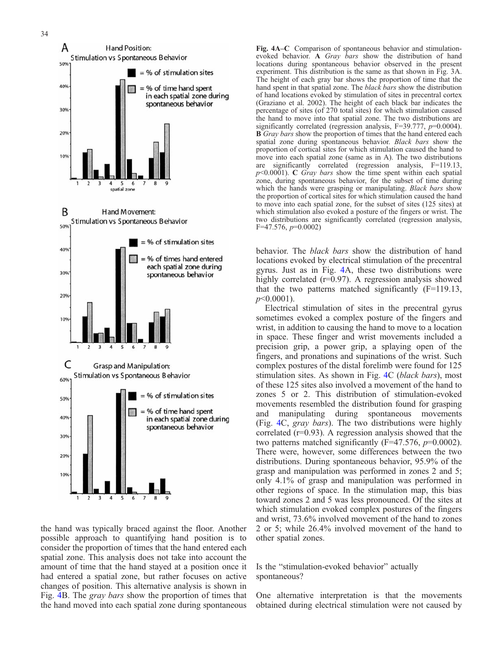

the hand was typically braced against the floor. Another possible approach to quantifying hand position is to consider the proportion of times that the hand entered each spatial zone. This analysis does not take into account the amount of time that the hand stayed at a position once it had entered a spatial zone, but rather focuses on active changes of position. This alternative analysis is shown in Fig. 4B. The gray bars show the proportion of times that the hand moved into each spatial zone during spontaneous

Fig. 4A–C Comparison of spontaneous behavior and stimulationevoked behavior. A Gray bars show the distribution of hand locations during spontaneous behavior observed in the present experiment. This distribution is the same as that shown in Fig. 3A. The height of each gray bar shows the proportion of time that the hand spent in that spatial zone. The *black bars* show the distribution of hand locations evoked by stimulation of sites in precentral cortex (Graziano et al. 2002). The height of each black bar indicates the percentage of sites (of 270 total sites) for which stimulation caused the hand to move into that spatial zone. The two distributions are significantly correlated (regression analysis,  $F=39.777$ ,  $p=0.0004$ ). **B** Gray bars show the proportion of times that the hand entered each spatial zone during spontaneous behavior. Black bars show the proportion of cortical sites for which stimulation caused the hand to move into each spatial zone (same as in A). The two distributions are significantly correlated (regression analysis, F=119.13,  $p$ <0.0001). C *Gray bars* show the time spent within each spatial zone, during spontaneous behavior, for the subset of time during which the hands were grasping or manipulating. *Black bars* show the proportion of cortical sites for which stimulation caused the hand to move into each spatial zone, for the subset of sites (125 sites) at which stimulation also evoked a posture of the fingers or wrist. The two distributions are significantly correlated (regression analysis,  $F=47.576, p=0.0002$ 

behavior. The *black bars* show the distribution of hand locations evoked by electrical stimulation of the precentral gyrus. Just as in Fig. 4A, these two distributions were highly correlated (r=0.97). A regression analysis showed that the two patterns matched significantly (F=119.13,  $p<0.0001$ ).

Electrical stimulation of sites in the precentral gyrus sometimes evoked a complex posture of the fingers and wrist, in addition to causing the hand to move to a location in space. These finger and wrist movements included a precision grip, a power grip, a splaying open of the fingers, and pronations and supinations of the wrist. Such complex postures of the distal forelimb were found for 125 stimulation sites. As shown in Fig. 4C (black bars), most of these 125 sites also involved a movement of the hand to zones 5 or 2. This distribution of stimulation-evoked movements resembled the distribution found for grasping and manipulating during spontaneous movements (Fig. 4C, gray bars). The two distributions were highly correlated (r=0.93). A regression analysis showed that the two patterns matched significantly ( $F=47.576$ ,  $p=0.0002$ ). There were, however, some differences between the two distributions. During spontaneous behavior, 95.9% of the grasp and manipulation was performed in zones 2 and 5; only 4.1% of grasp and manipulation was performed in other regions of space. In the stimulation map, this bias toward zones 2 and 5 was less pronounced. Of the sites at which stimulation evoked complex postures of the fingers and wrist, 73.6% involved movement of the hand to zones 2 or 5; while 26.4% involved movement of the hand to other spatial zones.

Is the "stimulation-evoked behavior" actually spontaneous?

One alternative interpretation is that the movements obtained during electrical stimulation were not caused by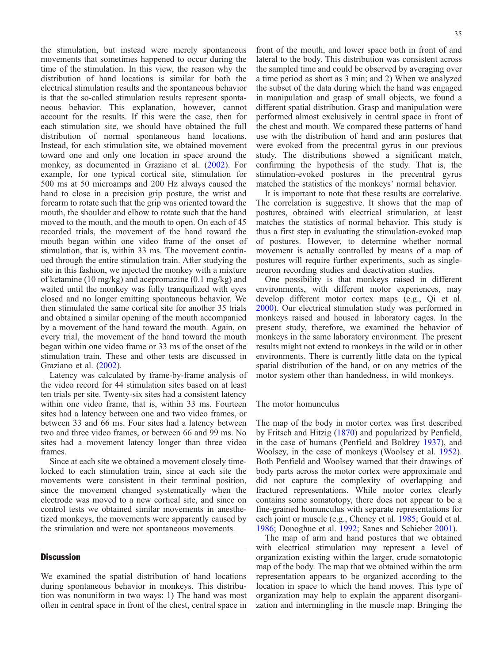the stimulation, but instead were merely spontaneous movements that sometimes happened to occur during the time of the stimulation. In this view, the reason why the distribution of hand locations is similar for both the electrical stimulation results and the spontaneous behavior is that the so-called stimulation results represent spontaneous behavior. This explanation, however, cannot account for the results. If this were the case, then for each stimulation site, we should have obtained the full distribution of normal spontaneous hand locations. Instead, for each stimulation site, we obtained movement toward one and only one location in space around the monkey, as documented in Graziano et al. ([2002\)](#page-6-0). For example, for one typical cortical site, stimulation for 500 ms at 50 microamps and 200 Hz always caused the hand to close in a precision grip posture, the wrist and forearm to rotate such that the grip was oriented toward the mouth, the shoulder and elbow to rotate such that the hand moved to the mouth, and the mouth to open. On each of 45 recorded trials, the movement of the hand toward the mouth began within one video frame of the onset of stimulation, that is, within 33 ms. The movement continued through the entire stimulation train. After studying the site in this fashion, we injected the monkey with a mixture of ketamine (10 mg/kg) and acepromazine (0.1 mg/kg) and waited until the monkey was fully tranquilized with eyes closed and no longer emitting spontaneous behavior. We then stimulated the same cortical site for another 35 trials and obtained a similar opening of the mouth accompanied by a movement of the hand toward the mouth. Again, on every trial, the movement of the hand toward the mouth began within one video frame or 33 ms of the onset of the stimulation train. These and other tests are discussed in Graziano et al. [\(2002](#page-6-0)).

Latency was calculated by frame-by-frame analysis of the video record for 44 stimulation sites based on at least ten trials per site. Twenty-six sites had a consistent latency within one video frame, that is, within 33 ms. Fourteen sites had a latency between one and two video frames, or between 33 and 66 ms. Four sites had a latency between two and three video frames, or between 66 and 99 ms. No sites had a movement latency longer than three video frames.

Since at each site we obtained a movement closely timelocked to each stimulation train, since at each site the movements were consistent in their terminal position, since the movement changed systematically when the electrode was moved to a new cortical site, and since on control tests we obtained similar movements in anesthetized monkeys, the movements were apparently caused by the stimulation and were not spontaneous movements.

## **Discussion**

We examined the spatial distribution of hand locations during spontaneous behavior in monkeys. This distribution was nonuniform in two ways: 1) The hand was most often in central space in front of the chest, central space in

front of the mouth, and lower space both in front of and lateral to the body. This distribution was consistent across the sampled time and could be observed by averaging over a time period as short as 3 min; and 2) When we analyzed the subset of the data during which the hand was engaged in manipulation and grasp of small objects, we found a different spatial distribution. Grasp and manipulation were performed almost exclusively in central space in front of the chest and mouth. We compared these patterns of hand use with the distribution of hand and arm postures that were evoked from the precentral gyrus in our previous study. The distributions showed a significant match, confirming the hypothesis of the study. That is, the stimulation-evoked postures in the precentral gyrus matched the statistics of the monkeys' normal behavior.

It is important to note that these results are correlative. The correlation is suggestive. It shows that the map of postures, obtained with electrical stimulation, at least matches the statistics of normal behavior. This study is thus a first step in evaluating the stimulation-evoked map of postures. However, to determine whether normal movement is actually controlled by means of a map of postures will require further experiments, such as singleneuron recording studies and deactivation studies.

One possibility is that monkeys raised in different environments, with different motor experiences, may develop different motor cortex maps (e.g., Qi et al. [2000](#page-6-0)). Our electrical stimulation study was performed in monkeys raised and housed in laboratory cages. In the present study, therefore, we examined the behavior of monkeys in the same laboratory environment. The present results might not extend to monkeys in the wild or in other environments. There is currently little data on the typical spatial distribution of the hand, or on any metrics of the motor system other than handedness, in wild monkeys.

### The motor homunculus

The map of the body in motor cortex was first described by Fritsch and Hitzig ([1870\)](#page-6-0) and popularized by Penfield, in the case of humans (Penfield and Boldrey [1937](#page-6-0)), and Woolsey, in the case of monkeys (Woolsey et al. [1952](#page-6-0)). Both Penfield and Woolsey warned that their drawings of body parts across the motor cortex were approximate and did not capture the complexity of overlapping and fractured representations. While motor cortex clearly contains some somatotopy, there does not appear to be a fine-grained homunculus with separate representations for each joint or muscle (e.g., Cheney et al. [1985](#page-6-0); Gould et al. [1986](#page-6-0); Donoghue et al. [1992;](#page-6-0) Sanes and Schieber [2001\)](#page-6-0).

The map of arm and hand postures that we obtained with electrical stimulation may represent a level of organization existing within the larger, crude somatotopic map of the body. The map that we obtained within the arm representation appears to be organized according to the location in space to which the hand moves. This type of organization may help to explain the apparent disorganization and intermingling in the muscle map. Bringing the